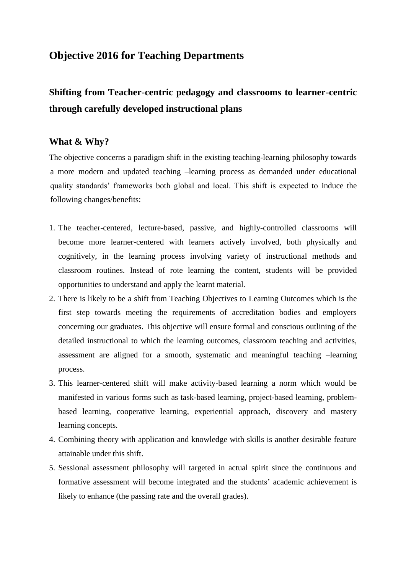### **Objective 2016 for Teaching Departments**

# **Shifting from Teacher-centric pedagogy and classrooms to learner-centric through carefully developed instructional plans**

#### **What & Why?**

The objective concerns a paradigm shift in the existing teaching-learning philosophy towards a more modern and updated teaching –learning process as demanded under educational quality standards' frameworks both global and local. This shift is expected to induce the following changes/benefits:

- 1. The teacher-centered, lecture-based, passive, and highly-controlled classrooms will become more learner-centered with learners actively involved, both physically and cognitively, in the learning process involving variety of instructional methods and classroom routines. Instead of rote learning the content, students will be provided opportunities to understand and apply the learnt material.
- 2. There is likely to be a shift from Teaching Objectives to Learning Outcomes which is the first step towards meeting the requirements of accreditation bodies and employers concerning our graduates. This objective will ensure formal and conscious outlining of the detailed instructional to which the learning outcomes, classroom teaching and activities, assessment are aligned for a smooth, systematic and meaningful teaching –learning process.
- 3. This learner-centered shift will make activity-based learning a norm which would be manifested in various forms such as task-based learning, project-based learning, problembased learning, cooperative learning, experiential approach, discovery and mastery learning concepts.
- 4. Combining theory with application and knowledge with skills is another desirable feature attainable under this shift.
- 5. Sessional assessment philosophy will targeted in actual spirit since the continuous and formative assessment will become integrated and the students' academic achievement is likely to enhance (the passing rate and the overall grades).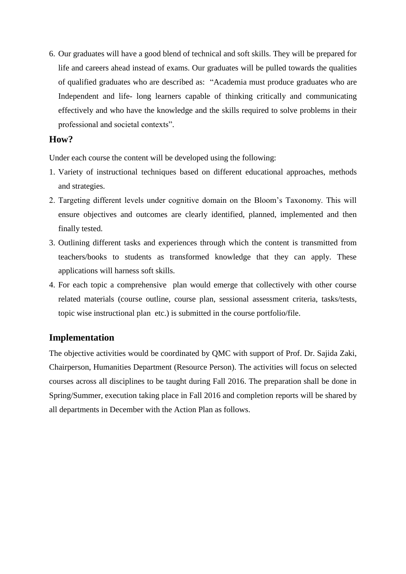6. Our graduates will have a good blend of technical and soft skills. They will be prepared for life and careers ahead instead of exams. Our graduates will be pulled towards the qualities of qualified graduates who are described as: "Academia must produce graduates who are Independent and life- long learners capable of thinking critically and communicating effectively and who have the knowledge and the skills required to solve problems in their professional and societal contexts".

#### **How?**

Under each course the content will be developed using the following:

- 1. Variety of instructional techniques based on different educational approaches, methods and strategies.
- 2. Targeting different levels under cognitive domain on the Bloom's Taxonomy. This will ensure objectives and outcomes are clearly identified, planned, implemented and then finally tested.
- 3. Outlining different tasks and experiences through which the content is transmitted from teachers/books to students as transformed knowledge that they can apply. These applications will harness soft skills.
- 4. For each topic a comprehensive plan would emerge that collectively with other course related materials (course outline, course plan, sessional assessment criteria, tasks/tests, topic wise instructional plan etc.) is submitted in the course portfolio/file.

### **Implementation**

The objective activities would be coordinated by QMC with support of Prof. Dr. Sajida Zaki, Chairperson, Humanities Department (Resource Person). The activities will focus on selected courses across all disciplines to be taught during Fall 2016. The preparation shall be done in Spring/Summer, execution taking place in Fall 2016 and completion reports will be shared by all departments in December with the Action Plan as follows.